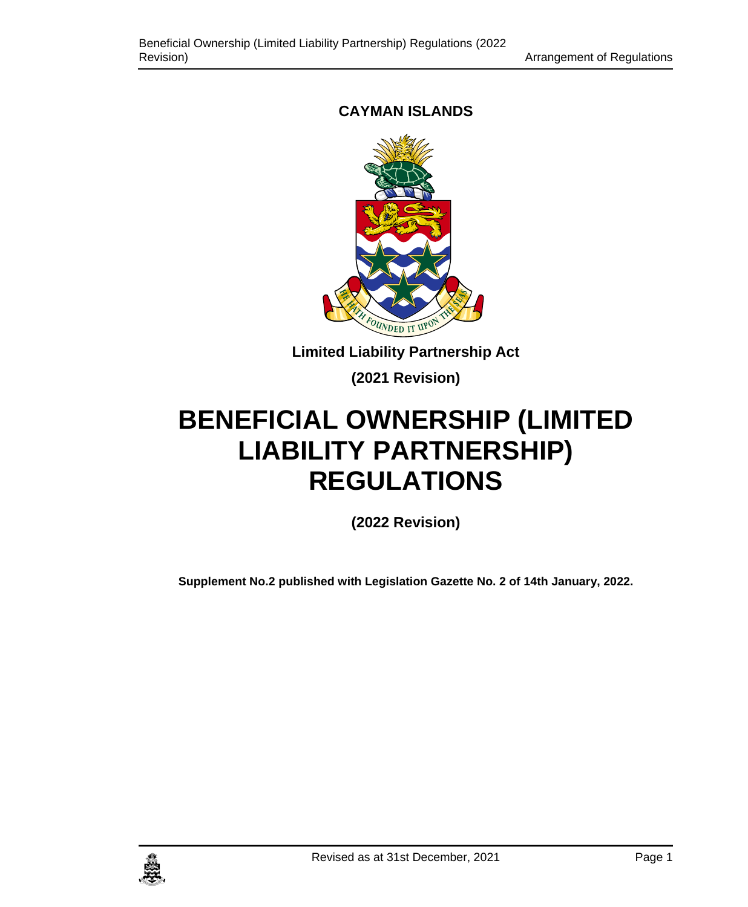# **CAYMAN ISLANDS**



**Limited Liability Partnership Act**

**(2021 Revision)**

# **BENEFICIAL OWNERSHIP (LIMITED LIABILITY PARTNERSHIP) REGULATIONS**

**(2022 Revision)**

**Supplement No.2 published with Legislation Gazette No. 2 of 14th January, 2022.**

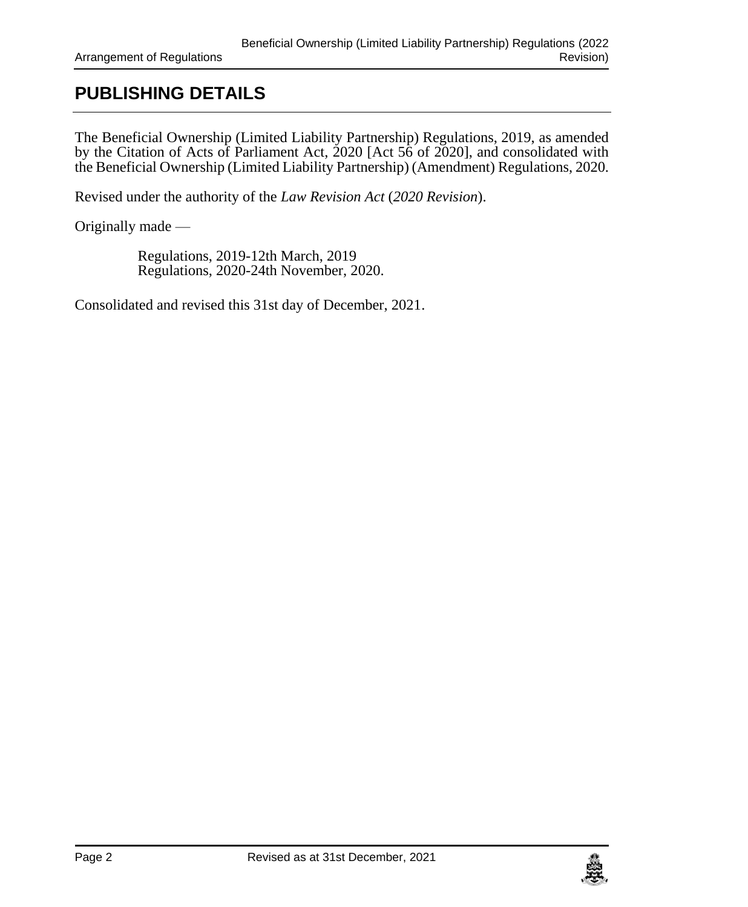# **PUBLISHING DETAILS**

The Beneficial Ownership (Limited Liability Partnership) Regulations, 2019, as amended by the Citation of Acts of Parliament Act, 2020 [Act 56 of 2020], and consolidated with the Beneficial Ownership (Limited Liability Partnership) (Amendment) Regulations, 2020.

Revised under the authority of the *Law Revision Act* (*2020 Revision*).

Originally made —

Regulations, 2019-12th March, 2019 Regulations, 2020-24th November, 2020.

Consolidated and revised this 31st day of December, 2021.

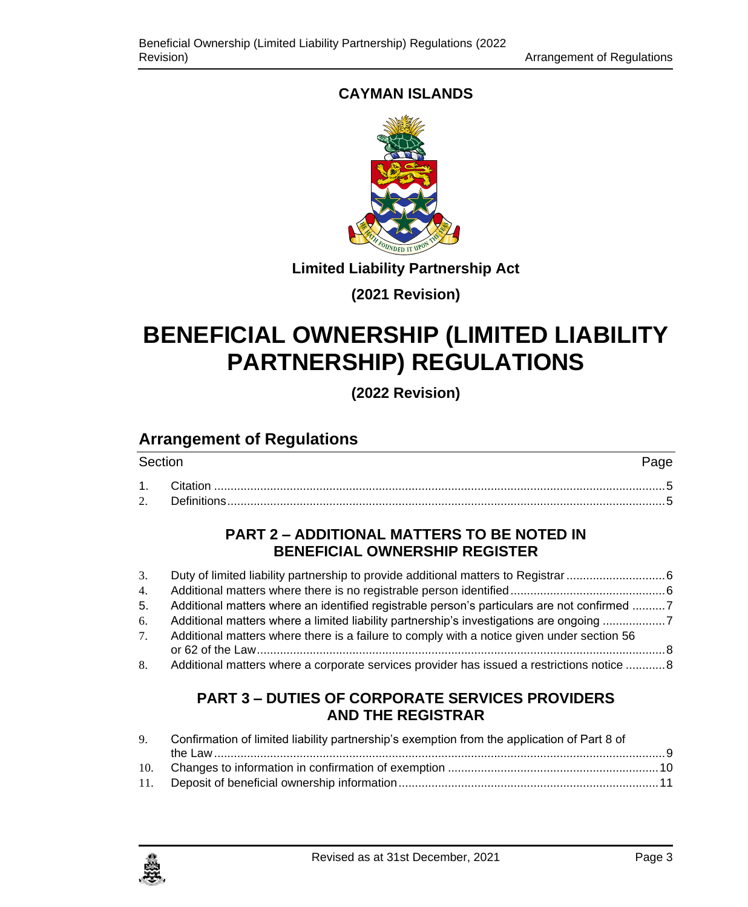# **CAYMAN ISLANDS**



**Limited Liability Partnership Act**

**(2021 Revision)**

# **BENEFICIAL OWNERSHIP (LIMITED LIABILITY PARTNERSHIP) REGULATIONS**

**(2022 Revision)**

# **Arrangement of Regulations**

| Section |  |
|---------|--|
|         |  |
|         |  |

# **PART 2 – [ADDITIONAL MATTERS TO BE NOTED IN](#page-5-0)  [BENEFICIAL OWNERSHIP REGISTER](#page-5-0)**

| 3.             |                                                                                             |  |
|----------------|---------------------------------------------------------------------------------------------|--|
| 4.             |                                                                                             |  |
| 5.             | Additional matters where an identified registrable person's particulars are not confirmed 7 |  |
| 6.             | Additional matters where a limited liability partnership's investigations are ongoing 7     |  |
| 7 <sup>1</sup> | Additional matters where there is a failure to comply with a notice given under section 56  |  |
|                |                                                                                             |  |
| 8.             | Additional matters where a corporate services provider has issued a restrictions notice  8  |  |

# **PART 3 – [DUTIES OF CORPORATE SERVICES PROVIDERS](#page-8-0)  [AND THE REGISTRAR](#page-8-0)**

| 9. Confirmation of limited liability partnership's exemption from the application of Part 8 of |  |  |  |
|------------------------------------------------------------------------------------------------|--|--|--|
|                                                                                                |  |  |  |
|                                                                                                |  |  |  |
|                                                                                                |  |  |  |

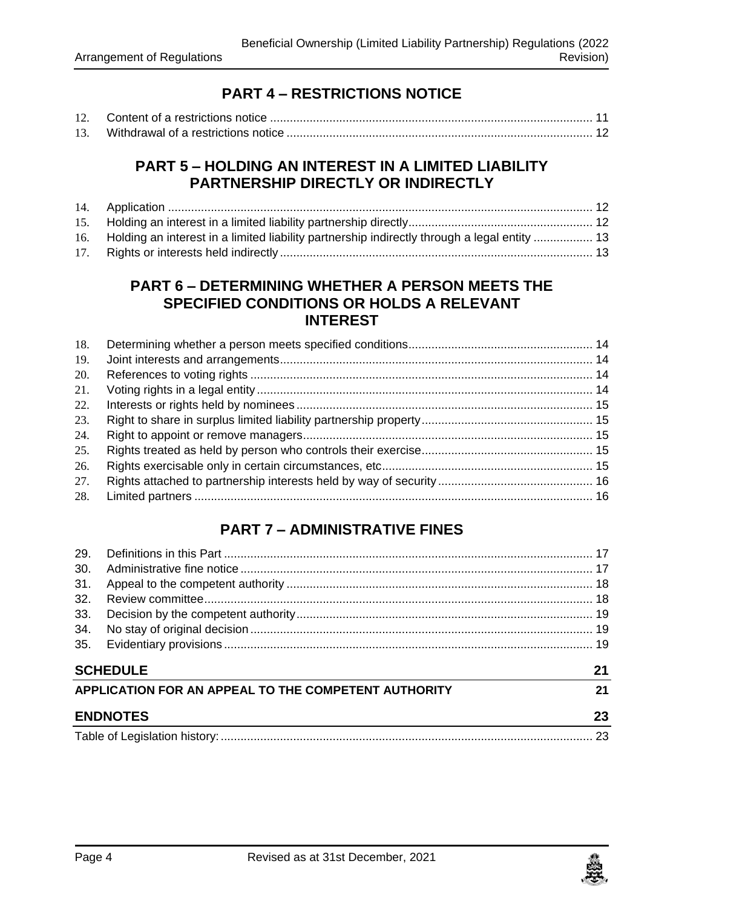# **PART 4 – [RESTRICTIONS NOTICE](#page-10-1)**

### **PART 5 – [HOLDING AN INTEREST IN A LIMITED LIABILITY](#page-11-1)  [PARTNERSHIP DIRECTLY OR INDIRECTLY](#page-11-1)**

| 16. Holding an interest in a limited liability partnership indirectly through a legal entity  13 |  |
|--------------------------------------------------------------------------------------------------|--|
|                                                                                                  |  |

#### **PART 6 – [DETERMINING WHETHER A PERSON MEETS THE](#page-13-0)  [SPECIFIED CONDITIONS OR HOLDS A RELEVANT](#page-13-0)  [INTEREST](#page-13-0)**

| 18. |  |
|-----|--|
| 19. |  |
| 20. |  |
| 21. |  |
| 22. |  |
| 23. |  |
| 24. |  |
| 25. |  |
| 26. |  |
| 27. |  |
| 28. |  |

# **PART 7 – [ADMINISTRATIVE FINES](#page-16-0)**

| 29. |                                                            |    |  |
|-----|------------------------------------------------------------|----|--|
| 30. |                                                            |    |  |
| 31. |                                                            |    |  |
| 32. |                                                            |    |  |
| 33. |                                                            |    |  |
| 34. |                                                            |    |  |
| 35. |                                                            |    |  |
|     | <b>SCHEDULE</b>                                            | 21 |  |
|     | APPLICATION FOR AN APPEAL TO THE COMPETENT AUTHORITY<br>21 |    |  |
|     | <b>ENDNOTES</b><br>23                                      |    |  |
|     |                                                            |    |  |

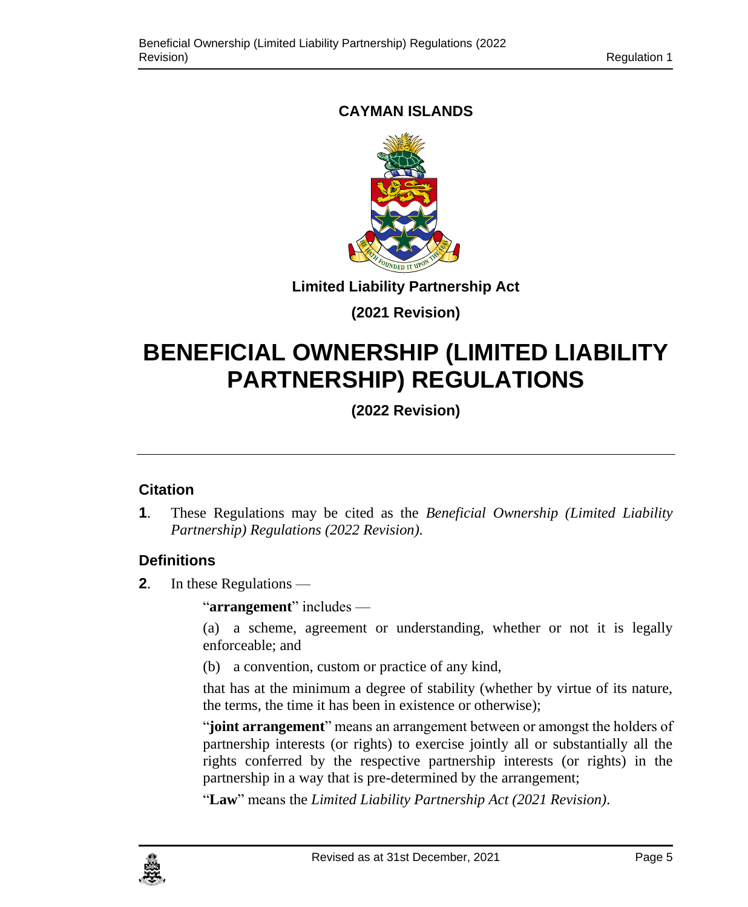# <span id="page-4-0"></span>**CAYMAN ISLANDS**



**Limited Liability Partnership Act**

# **(2021 Revision)**

# **BENEFICIAL OWNERSHIP (LIMITED LIABILITY PARTNERSHIP) REGULATIONS**

**(2022 Revision)**

# **1. Citation**

**1**. These Regulations may be cited as the *Beneficial Ownership (Limited Liability Partnership) Regulations (2022 Revision)*.

# <span id="page-4-1"></span>**2. Definitions**

**2**. In these Regulations —

"**arrangement**" includes —

(a) a scheme, agreement or understanding, whether or not it is legally enforceable; and

(b) a convention, custom or practice of any kind,

that has at the minimum a degree of stability (whether by virtue of its nature, the terms, the time it has been in existence or otherwise);

"**joint arrangement**" means an arrangement between or amongst the holders of partnership interests (or rights) to exercise jointly all or substantially all the rights conferred by the respective partnership interests (or rights) in the partnership in a way that is pre-determined by the arrangement;

"**Law**" means the *Limited Liability Partnership Act (2021 Revision)*.

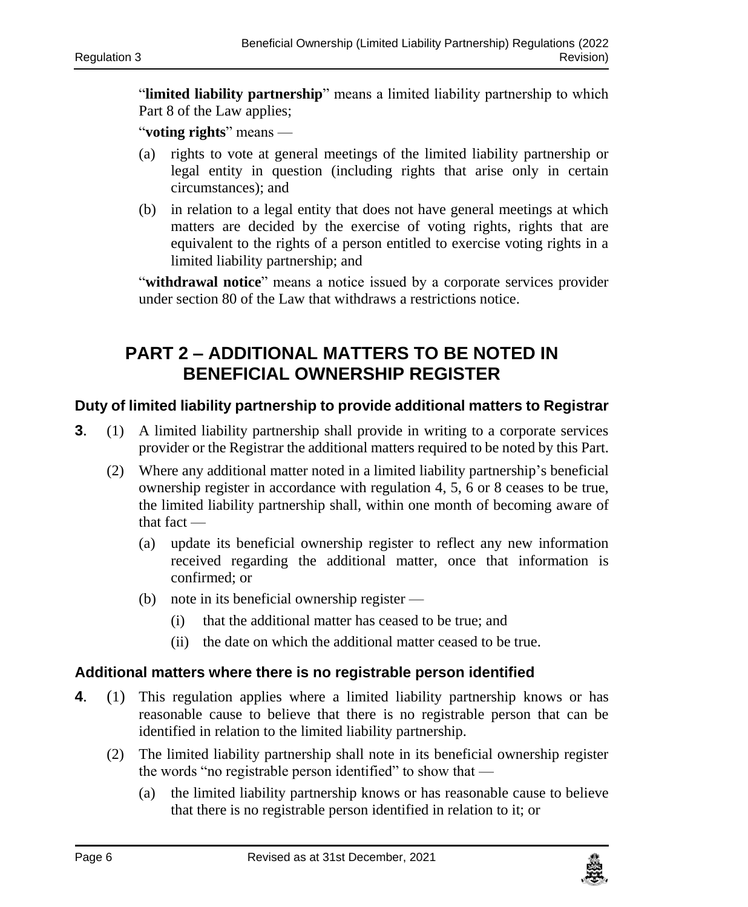"**limited liability partnership**" means a limited liability partnership to which Part 8 of the Law applies;

"**voting rights**" means —

- (a) rights to vote at general meetings of the limited liability partnership or legal entity in question (including rights that arise only in certain circumstances); and
- (b) in relation to a legal entity that does not have general meetings at which matters are decided by the exercise of voting rights, rights that are equivalent to the rights of a person entitled to exercise voting rights in a limited liability partnership; and

"**withdrawal notice**" means a notice issued by a corporate services provider under section 80 of the Law that withdraws a restrictions notice.

# <span id="page-5-0"></span>**PART 2 – ADDITIONAL MATTERS TO BE NOTED IN BENEFICIAL OWNERSHIP REGISTER**

#### <span id="page-5-1"></span>**3. Duty of limited liability partnership to provide additional matters to Registrar**

- **3**. (1) A limited liability partnership shall provide in writing to a corporate services provider or the Registrar the additional matters required to be noted by this Part.
	- (2) Where any additional matter noted in a limited liability partnership's beneficial ownership register in accordance with regulation [4,](#page-5-3) [5,](#page-6-2) [6](#page-6-3) or [8](#page-7-2) ceases to be true, the limited liability partnership shall, within one month of becoming aware of that fact —
		- (a) update its beneficial ownership register to reflect any new information received regarding the additional matter, once that information is confirmed; or
		- (b) note in its beneficial ownership register
			- (i) that the additional matter has ceased to be true; and
			- (ii) the date on which the additional matter ceased to be true.

#### <span id="page-5-2"></span>**4. Additional matters where there is no registrable person identified**

- <span id="page-5-3"></span>**4**. (1) This regulation applies where a limited liability partnership knows or has reasonable cause to believe that there is no registrable person that can be identified in relation to the limited liability partnership.
	- (2) The limited liability partnership shall note in its beneficial ownership register the words "no registrable person identified" to show that —
		- (a) the limited liability partnership knows or has reasonable cause to believe that there is no registrable person identified in relation to it; or

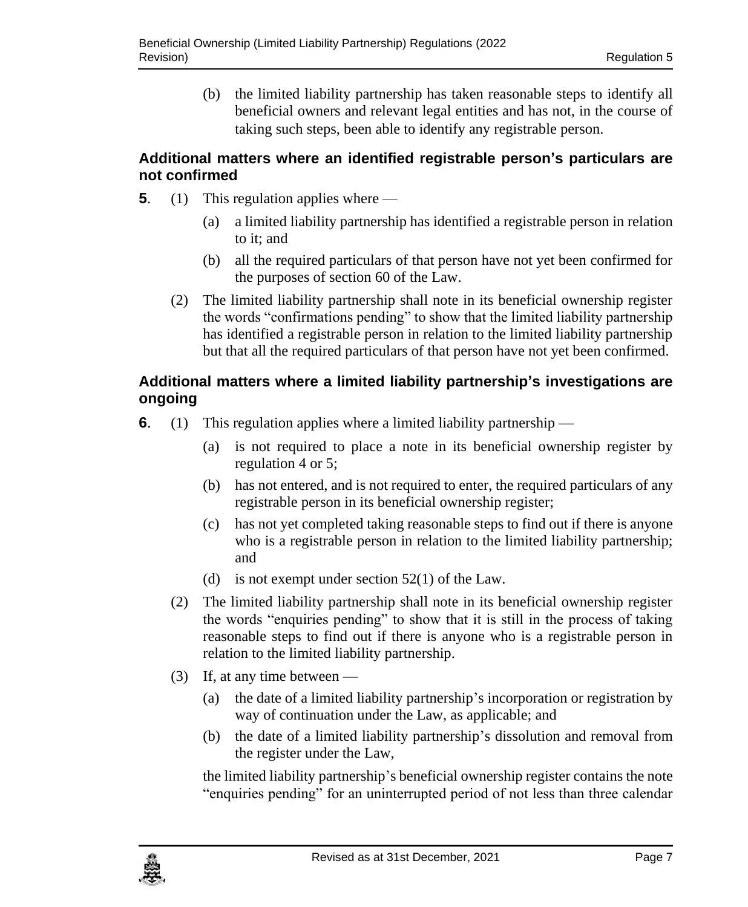(b) the limited liability partnership has taken reasonable steps to identify all beneficial owners and relevant legal entities and has not, in the course of taking such steps, been able to identify any registrable person.5.

### <span id="page-6-0"></span>**5. Additional matters where an identified registrable person's particulars are not confirmed**

- <span id="page-6-2"></span>**5**. (1) This regulation applies where —
	- (a) a limited liability partnership has identified a registrable person in relation to it; and
	- (b) all the required particulars of that person have not yet been confirmed for the purposes of section 60 of the Law.
	- (2) The limited liability partnership shall note in its beneficial ownership register the words "confirmations pending" to show that the limited liability partnership has identified a registrable person in relation to the limited liability partnership but that all the required particulars of that person have not yet been confirmed.

# <span id="page-6-1"></span>**6. Additional matters where a limited liability partnership's investigations are ongoing**

- <span id="page-6-3"></span>**6.** (1) This regulation applies where a limited liability partnership —
	- (a) is not required to place a note in its beneficial ownership register by regulatio[n 4](#page-5-3) or [5;](#page-6-2)
	- (b) has not entered, and is not required to enter, the required particulars of any registrable person in its beneficial ownership register;
	- (c) has not yet completed taking reasonable steps to find out if there is anyone who is a registrable person in relation to the limited liability partnership; and
	- (d) is not exempt under section 52(1) of the Law.
	- (2) The limited liability partnership shall note in its beneficial ownership register the words "enquiries pending" to show that it is still in the process of taking reasonable steps to find out if there is anyone who is a registrable person in relation to the limited liability partnership.
	- (3) If, at any time between
		- (a) the date of a limited liability partnership's incorporation or registration by way of continuation under the Law, as applicable; and
		- (b) the date of a limited liability partnership's dissolution and removal from the register under the Law,

the limited liability partnership's beneficial ownership register contains the note "enquiries pending" for an uninterrupted period of not less than three calendar

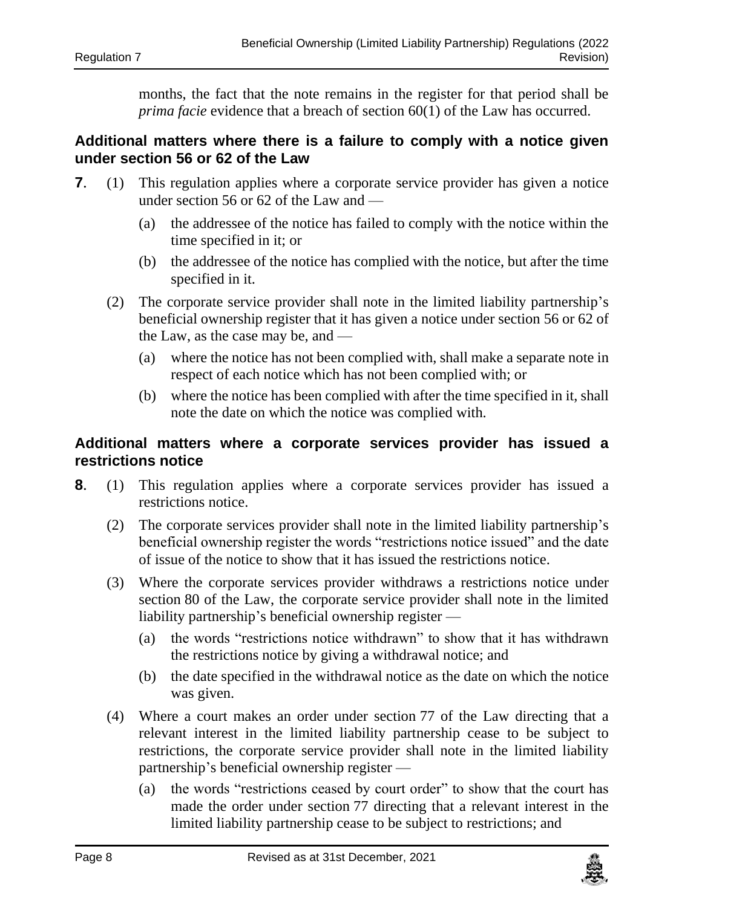months, the fact that the note remains in the register for that period shall be *prima facie* evidence that a breach of section 60(1) of the Law has occurred.

#### <span id="page-7-0"></span>**7. Additional matters where there is a failure to comply with a notice given under section 56 or 62 of the Law**

- **7**. (1) This regulation applies where a corporate service provider has given a notice under section 56 or 62 of the Law and —
	- (a) the addressee of the notice has failed to comply with the notice within the time specified in it; or
	- (b) the addressee of the notice has complied with the notice, but after the time specified in it.
	- (2) The corporate service provider shall note in the limited liability partnership's beneficial ownership register that it has given a notice under section 56 or 62 of the Law, as the case may be, and —
		- (a) where the notice has not been complied with, shall make a separate note in respect of each notice which has not been complied with; or
		- (b) where the notice has been complied with after the time specified in it, shall note the date on which the notice was complied with.

### <span id="page-7-1"></span>**8. Additional matters where a corporate services provider has issued a restrictions notice**

- <span id="page-7-2"></span>**8**. (1) This regulation applies where a corporate services provider has issued a restrictions notice.
	- (2) The corporate services provider shall note in the limited liability partnership's beneficial ownership register the words "restrictions notice issued" and the date of issue of the notice to show that it has issued the restrictions notice.
	- (3) Where the corporate services provider withdraws a restrictions notice under section 80 of the Law, the corporate service provider shall note in the limited liability partnership's beneficial ownership register —
		- (a) the words "restrictions notice withdrawn" to show that it has withdrawn the restrictions notice by giving a withdrawal notice; and
		- (b) the date specified in the withdrawal notice as the date on which the notice was given.
	- (4) Where a court makes an order under section 77 of the Law directing that a relevant interest in the limited liability partnership cease to be subject to restrictions, the corporate service provider shall note in the limited liability partnership's beneficial ownership register —
		- (a) the words "restrictions ceased by court order" to show that the court has made the order under section 77 directing that a relevant interest in the limited liability partnership cease to be subject to restrictions; and

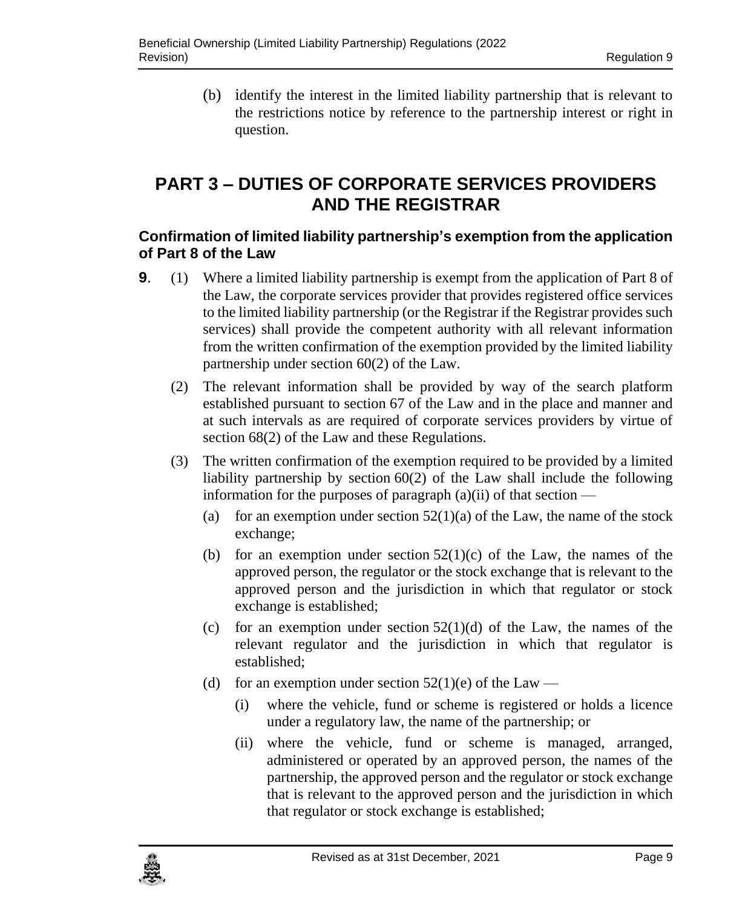(b) identify the interest in the limited liability partnership that is relevant to the restrictions notice by reference to the partnership interest or right in question.

# <span id="page-8-0"></span>**PART 3 – DUTIES OF CORPORATE SERVICES PROVIDERS AND THE REGISTRAR**

# <span id="page-8-1"></span>**9. Confirmation of limited liability partnership's exemption from the application of Part 8 of the Law**

- **9**. (1) Where a limited liability partnership is exempt from the application of Part 8 of the Law, the corporate services provider that provides registered office services to the limited liability partnership (or the Registrar if the Registrar provides such services) shall provide the competent authority with all relevant information from the written confirmation of the exemption provided by the limited liability partnership under section 60(2) of the Law.
	- (2) The relevant information shall be provided by way of the search platform established pursuant to section 67 of the Law and in the place and manner and at such intervals as are required of corporate services providers by virtue of section 68(2) of the Law and these Regulations.
	- (3) The written confirmation of the exemption required to be provided by a limited liability partnership by section 60(2) of the Law shall include the following information for the purposes of paragraph  $(a)(ii)$  of that section —
		- (a) for an exemption under section  $52(1)(a)$  of the Law, the name of the stock exchange;
		- (b) for an exemption under section  $52(1)(c)$  of the Law, the names of the approved person, the regulator or the stock exchange that is relevant to the approved person and the jurisdiction in which that regulator or stock exchange is established;
		- (c) for an exemption under section  $52(1)(d)$  of the Law, the names of the relevant regulator and the jurisdiction in which that regulator is established;
		- (d) for an exemption under section  $52(1)(e)$  of the Law
			- (i) where the vehicle, fund or scheme is registered or holds a licence under a regulatory law, the name of the partnership; or
			- (ii) where the vehicle, fund or scheme is managed, arranged, administered or operated by an approved person, the names of the partnership, the approved person and the regulator or stock exchange that is relevant to the approved person and the jurisdiction in which that regulator or stock exchange is established;

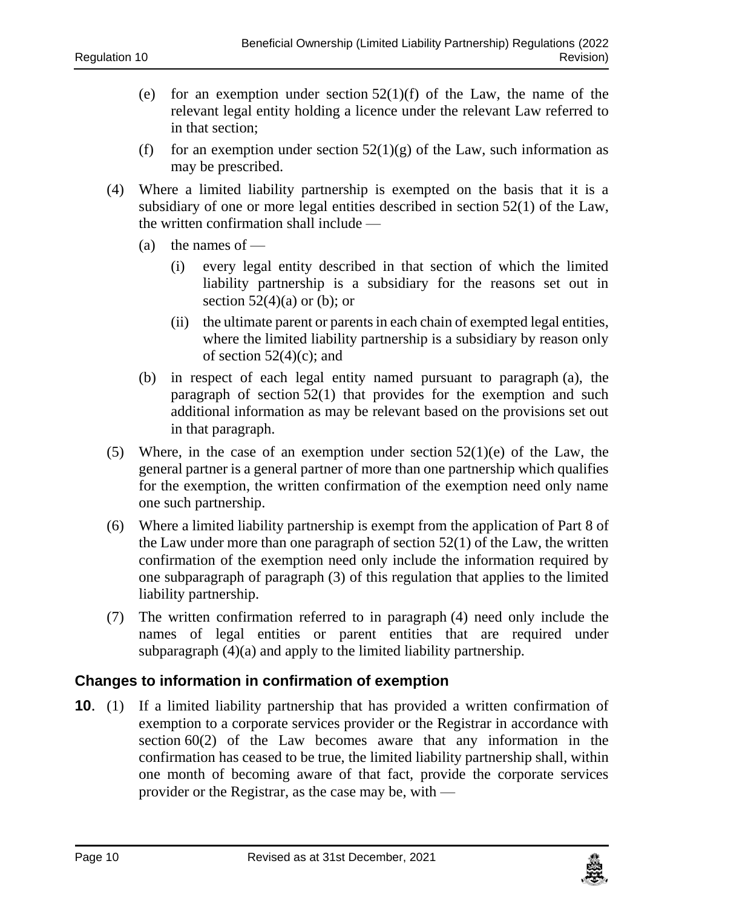- (e) for an exemption under section  $52(1)(f)$  of the Law, the name of the relevant legal entity holding a licence under the relevant Law referred to in that section;
- (f) for an exemption under section  $52(1)(g)$  of the Law, such information as may be prescribed.
- (4) Where a limited liability partnership is exempted on the basis that it is a subsidiary of one or more legal entities described in section 52(1) of the Law, the written confirmation shall include —
	- (a) the names of  $-$ 
		- (i) every legal entity described in that section of which the limited liability partnership is a subsidiary for the reasons set out in section  $52(4)(a)$  or (b); or
		- (ii) the ultimate parent or parents in each chain of exempted legal entities, where the limited liability partnership is a subsidiary by reason only of section  $52(4)(c)$ ; and
	- (b) in respect of each legal entity named pursuant to paragraph (a), the paragraph of section 52(1) that provides for the exemption and such additional information as may be relevant based on the provisions set out in that paragraph.
- (5) Where, in the case of an exemption under section  $52(1)(e)$  of the Law, the general partner is a general partner of more than one partnership which qualifies for the exemption, the written confirmation of the exemption need only name one such partnership.
- (6) Where a limited liability partnership is exempt from the application of Part 8 of the Law under more than one paragraph of section 52(1) of the Law, the written confirmation of the exemption need only include the information required by one subparagraph of paragraph (3) of this regulation that applies to the limited liability partnership.
- (7) The written confirmation referred to in paragraph (4) need only include the names of legal entities or parent entities that are required under subparagraph (4)(a) and apply to the limited liability partnership.

#### <span id="page-9-0"></span>**10. Changes to information in confirmation of exemption**

**10.** (1) If a limited liability partnership that has provided a written confirmation of exemption to a corporate services provider or the Registrar in accordance with section 60(2) of the Law becomes aware that any information in the confirmation has ceased to be true, the limited liability partnership shall, within one month of becoming aware of that fact, provide the corporate services provider or the Registrar, as the case may be, with —

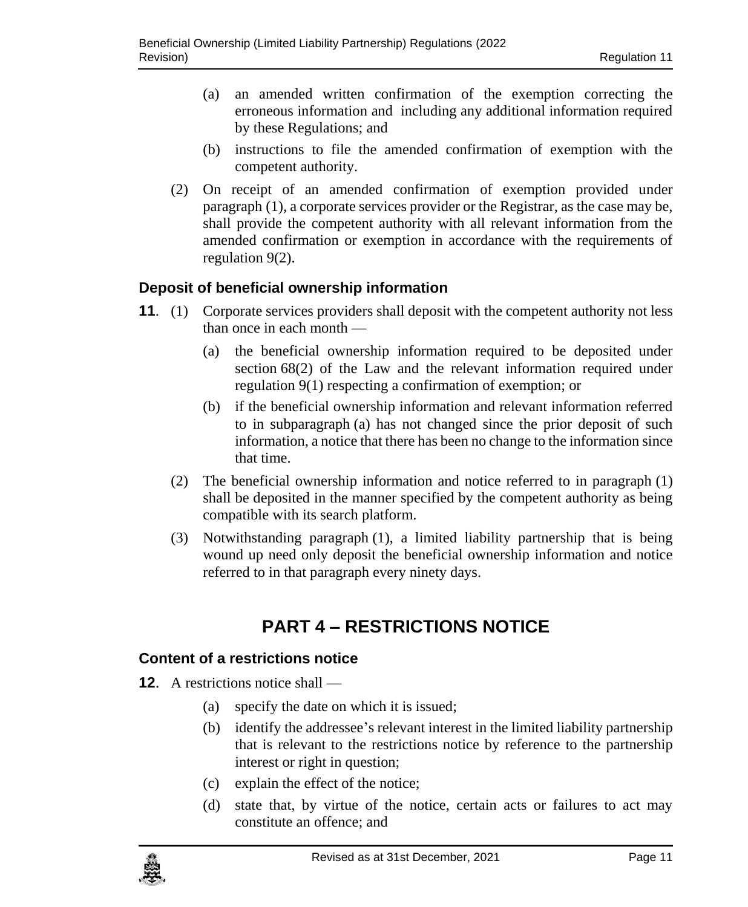- (a) an amended written confirmation of the exemption correcting the erroneous information and including any additional information required by these Regulations; and
- (b) instructions to file the amended confirmation of exemption with the competent authority.
- (2) On receipt of an amended confirmation of exemption provided under paragraph (1), a corporate services provider or the Registrar, as the case may be, shall provide the competent authority with all relevant information from the amended confirmation or exemption in accordance with the requirements of regulation 9(2).

### <span id="page-10-0"></span>**11. Deposit of beneficial ownership information**

- **11**. (1) Corporate services providers shall deposit with the competent authority not less than once in each month —
	- (a) the beneficial ownership information required to be deposited under section 68(2) of the Law and the relevant information required under regulation 9(1) respecting a confirmation of exemption; or
	- (b) if the beneficial ownership information and relevant information referred to in subparagraph (a) has not changed since the prior deposit of such information, a notice that there has been no change to the information since that time.
	- (2) The beneficial ownership information and notice referred to in paragraph (1) shall be deposited in the manner specified by the competent authority as being compatible with its search platform.
	- (3) Notwithstanding paragraph (1), a limited liability partnership that is being wound up need only deposit the beneficial ownership information and notice referred to in that paragraph every ninety days.

# **PART 4 – RESTRICTIONS NOTICE**

#### <span id="page-10-2"></span><span id="page-10-1"></span>**12. Content of a restrictions notice**

- **12**. A restrictions notice shall
	- (a) specify the date on which it is issued;
	- (b) identify the addressee's relevant interest in the limited liability partnership that is relevant to the restrictions notice by reference to the partnership interest or right in question;
	- (c) explain the effect of the notice;
	- (d) state that, by virtue of the notice, certain acts or failures to act may constitute an offence; and

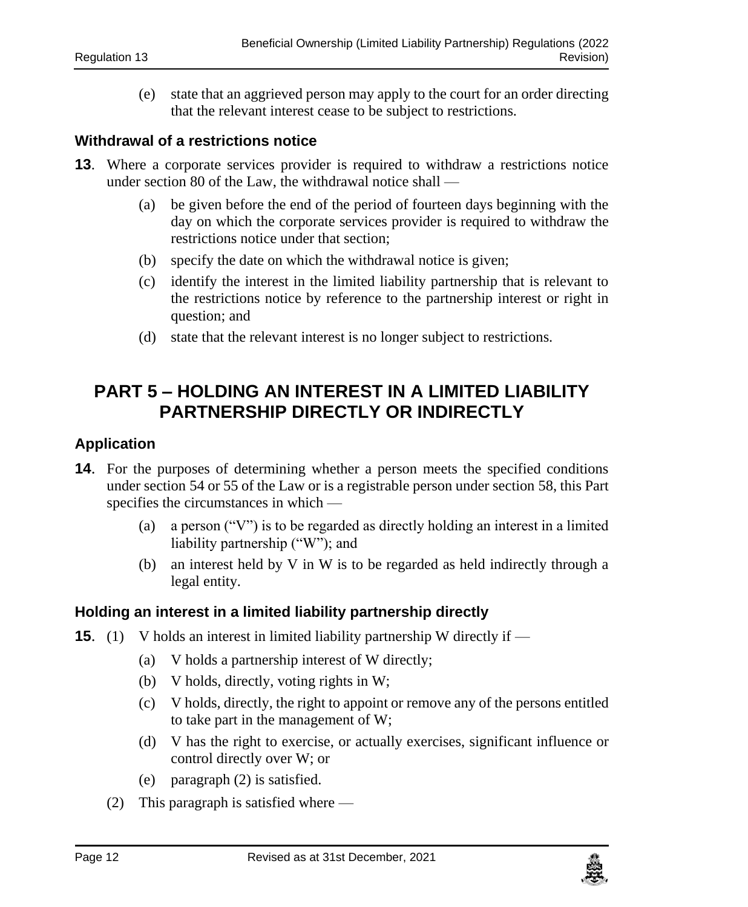(e) state that an aggrieved person may apply to the court for an order directing that the relevant interest cease to be subject to restrictions.

#### <span id="page-11-0"></span>**13. Withdrawal of a restrictions notice**

- **13.** Where a corporate services provider is required to withdraw a restrictions notice under section 80 of the Law, the withdrawal notice shall —
	- (a) be given before the end of the period of fourteen days beginning with the day on which the corporate services provider is required to withdraw the restrictions notice under that section;
	- (b) specify the date on which the withdrawal notice is given;
	- (c) identify the interest in the limited liability partnership that is relevant to the restrictions notice by reference to the partnership interest or right in question; and
	- (d) state that the relevant interest is no longer subject to restrictions.

# <span id="page-11-1"></span>**PART 5 – HOLDING AN INTEREST IN A LIMITED LIABILITY PARTNERSHIP DIRECTLY OR INDIRECTLY**

#### <span id="page-11-2"></span>**14. Application**

- **14**. For the purposes of determining whether a person meets the specified conditions under section 54 or 55 of the Law or is a registrable person under section 58, this Part specifies the circumstances in which —
	- (a) a person ("V") is to be regarded as directly holding an interest in a limited liability partnership ("W"); and
	- (b) an interest held by V in W is to be regarded as held indirectly through a legal entity.

#### <span id="page-11-3"></span>**15. Holding an interest in a limited liability partnership directly**

- **15.** (1) V holds an interest in limited liability partnership W directly if
	- (a) V holds a partnership interest of W directly;
	- (b) V holds, directly, voting rights in W;
	- (c) V holds, directly, the right to appoint or remove any of the persons entitled to take part in the management of W;
	- (d) V has the right to exercise, or actually exercises, significant influence or control directly over W; or
	- (e) paragraph (2) is satisfied.
	- (2) This paragraph is satisfied where —

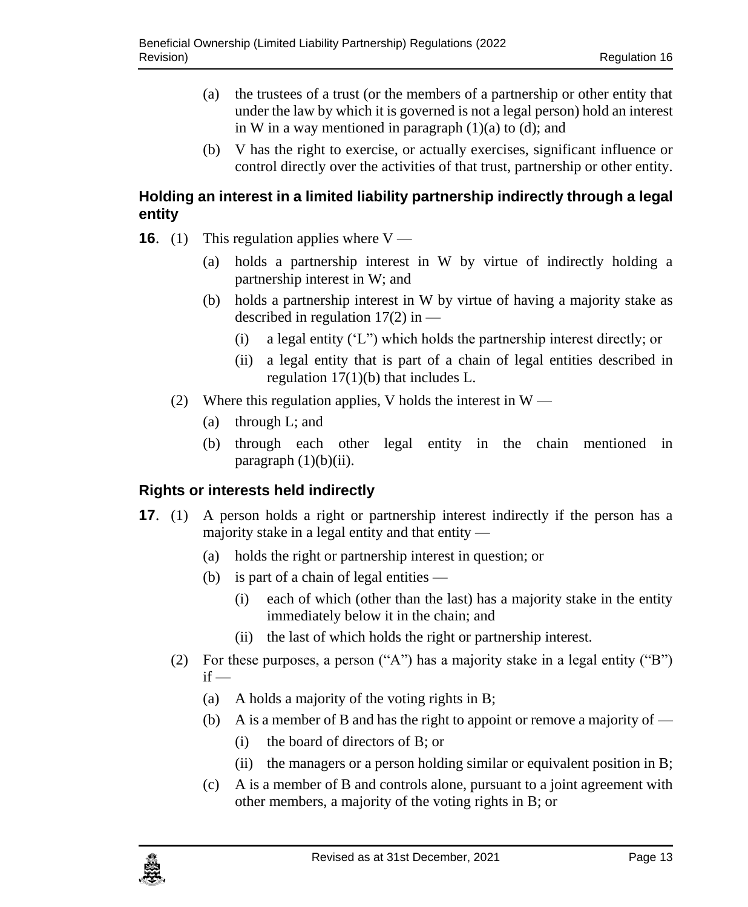- (a) the trustees of a trust (or the members of a partnership or other entity that under the law by which it is governed is not a legal person) hold an interest in W in a way mentioned in paragraph  $(1)(a)$  to  $(d)$ ; and
- (b) V has the right to exercise, or actually exercises, significant influence or control directly over the activities of that trust, partnership or other entity.

## <span id="page-12-0"></span>**16. Holding an interest in a limited liability partnership indirectly through a legal entity**

- **16.** (1) This regulation applies where  $V$ 
	- (a) holds a partnership interest in W by virtue of indirectly holding a partnership interest in W; and
	- (b) holds a partnership interest in W by virtue of having a majority stake as described in regulation  $17(2)$  in —
		- (i) a legal entity ('L") which holds the partnership interest directly; or
		- (ii) a legal entity that is part of a chain of legal entities described in regulation  $17(1)(b)$  that includes L.
	- (2) Where this regulation applies, V holds the interest in  $W -$ 
		- (a) through L; and
		- (b) through each other legal entity in the chain mentioned in paragraph  $(1)(b)(ii)$ .

# <span id="page-12-1"></span>**17. Rights or interests held indirectly**

- **17.** (1) A person holds a right or partnership interest indirectly if the person has a majority stake in a legal entity and that entity  $-$ 
	- (a) holds the right or partnership interest in question; or
	- (b) is part of a chain of legal entities
		- (i) each of which (other than the last) has a majority stake in the entity immediately below it in the chain; and
		- (ii) the last of which holds the right or partnership interest.
	- (2) For these purposes, a person ("A") has a majority stake in a legal entity ("B")  $if -$ 
		- (a) A holds a majority of the voting rights in B;
		- (b) A is a member of B and has the right to appoint or remove a majority of  $-$ 
			- (i) the board of directors of B; or
			- (ii) the managers or a person holding similar or equivalent position in  $B$ ;
		- (c) A is a member of B and controls alone, pursuant to a joint agreement with other members, a majority of the voting rights in B; or

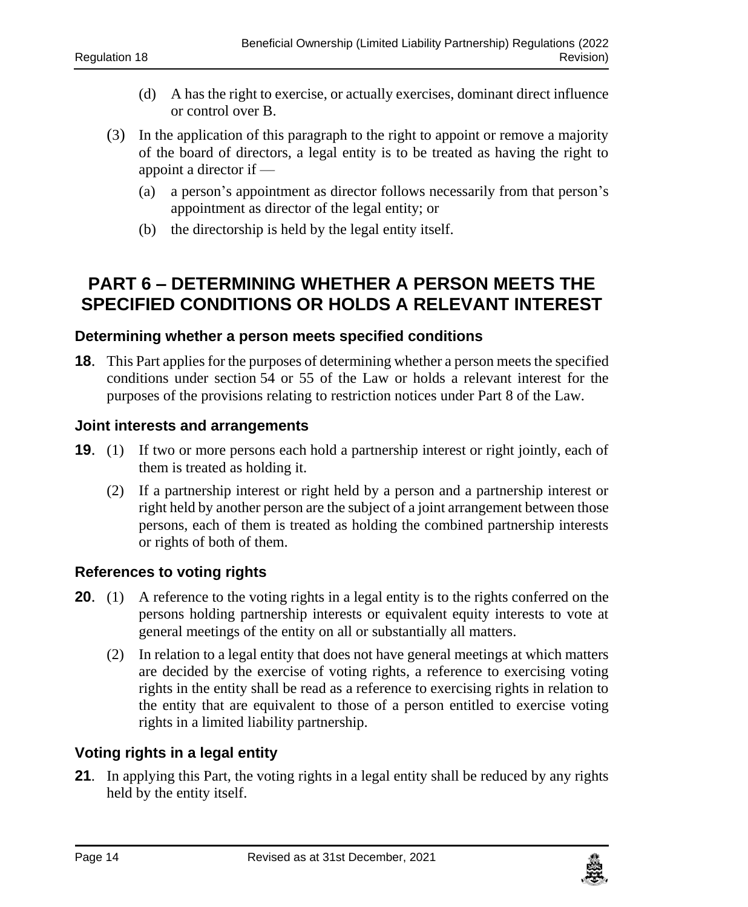- (d) A has the right to exercise, or actually exercises, dominant direct influence or control over B.
- (3) In the application of this paragraph to the right to appoint or remove a majority of the board of directors, a legal entity is to be treated as having the right to appoint a director if —
	- (a) a person's appointment as director follows necessarily from that person's appointment as director of the legal entity; or
	- (b) the directorship is held by the legal entity itself.

# <span id="page-13-0"></span>**PART 6 – DETERMINING WHETHER A PERSON MEETS THE SPECIFIED CONDITIONS OR HOLDS A RELEVANT INTEREST**

#### <span id="page-13-1"></span>**18. Determining whether a person meets specified conditions**

**18**. This Part applies for the purposes of determining whether a person meets the specified conditions under section 54 or 55 of the Law or holds a relevant interest for the purposes of the provisions relating to restriction notices under Part 8 of the Law.

#### <span id="page-13-2"></span>**19. Joint interests and arrangements**

- **19**. (1) If two or more persons each hold a partnership interest or right jointly, each of them is treated as holding it.
	- (2) If a partnership interest or right held by a person and a partnership interest or right held by another person are the subject of a joint arrangement between those persons, each of them is treated as holding the combined partnership interests or rights of both of them.

#### <span id="page-13-3"></span>**20. References to voting rights**

- **20.** (1) A reference to the voting rights in a legal entity is to the rights conferred on the persons holding partnership interests or equivalent equity interests to vote at general meetings of the entity on all or substantially all matters.
	- (2) In relation to a legal entity that does not have general meetings at which matters are decided by the exercise of voting rights, a reference to exercising voting rights in the entity shall be read as a reference to exercising rights in relation to the entity that are equivalent to those of a person entitled to exercise voting rights in a limited liability partnership.

### <span id="page-13-4"></span>**21. Voting rights in a legal entity**

**21**. In applying this Part, the voting rights in a legal entity shall be reduced by any rights held by the entity itself.

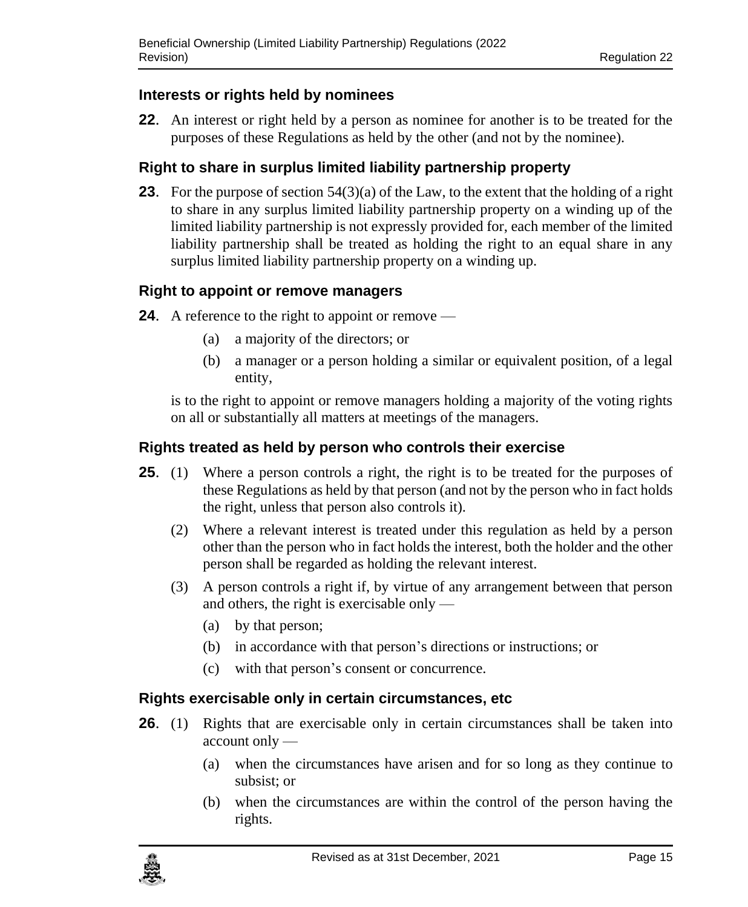### <span id="page-14-0"></span>**22. Interests or rights held by nominees**

**22**. An interest or right held by a person as nominee for another is to be treated for the purposes of these Regulations as held by the other (and not by the nominee).

# <span id="page-14-1"></span>**23. Right to share in surplus limited liability partnership property**

**23.** For the purpose of section 54(3)(a) of the Law, to the extent that the holding of a right to share in any surplus limited liability partnership property on a winding up of the limited liability partnership is not expressly provided for, each member of the limited liability partnership shall be treated as holding the right to an equal share in any surplus limited liability partnership property on a winding up.

### <span id="page-14-2"></span>**24. Right to appoint or remove managers**

- **24.** A reference to the right to appoint or remove
	- (a) a majority of the directors; or
	- (b) a manager or a person holding a similar or equivalent position, of a legal entity,

is to the right to appoint or remove managers holding a majority of the voting rights on all or substantially all matters at meetings of the managers.

### <span id="page-14-3"></span>**25. Rights treated as held by person who controls their exercise**

- **25.** (1) Where a person controls a right, the right is to be treated for the purposes of these Regulations as held by that person (and not by the person who in fact holds the right, unless that person also controls it).
	- (2) Where a relevant interest is treated under this regulation as held by a person other than the person who in fact holds the interest, both the holder and the other person shall be regarded as holding the relevant interest.
	- (3) A person controls a right if, by virtue of any arrangement between that person and others, the right is exercisable only —
		- (a) by that person;
		- (b) in accordance with that person's directions or instructions; or
		- (c) with that person's consent or concurrence.

### <span id="page-14-4"></span>**26. Rights exercisable only in certain circumstances, etc**

- **26.** (1) Rights that are exercisable only in certain circumstances shall be taken into account only —
	- (a) when the circumstances have arisen and for so long as they continue to subsist; or
	- (b) when the circumstances are within the control of the person having the rights.

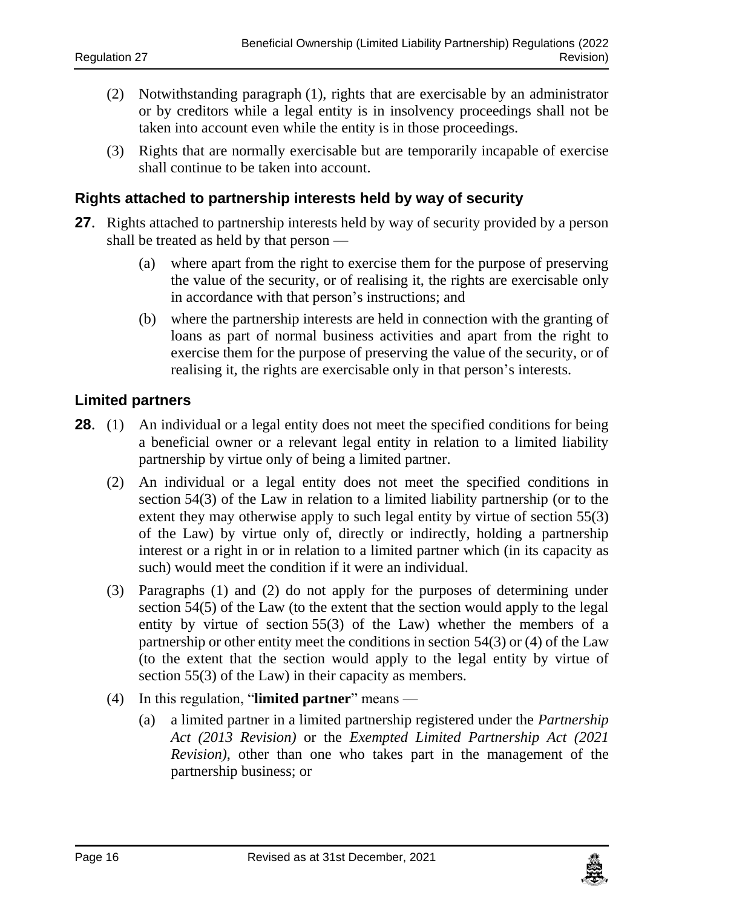- (2) Notwithstanding paragraph (1), rights that are exercisable by an administrator or by creditors while a legal entity is in insolvency proceedings shall not be taken into account even while the entity is in those proceedings.
- (3) Rights that are normally exercisable but are temporarily incapable of exercise shall continue to be taken into account.

#### <span id="page-15-0"></span>**27. Rights attached to partnership interests held by way of security**

- **27**. Rights attached to partnership interests held by way of security provided by a person shall be treated as held by that person —
	- (a) where apart from the right to exercise them for the purpose of preserving the value of the security, or of realising it, the rights are exercisable only in accordance with that person's instructions; and
	- (b) where the partnership interests are held in connection with the granting of loans as part of normal business activities and apart from the right to exercise them for the purpose of preserving the value of the security, or of realising it, the rights are exercisable only in that person's interests.

#### <span id="page-15-1"></span>**28. Limited partners**

- **28.** (1) An individual or a legal entity does not meet the specified conditions for being a beneficial owner or a relevant legal entity in relation to a limited liability partnership by virtue only of being a limited partner.
	- (2) An individual or a legal entity does not meet the specified conditions in section 54(3) of the Law in relation to a limited liability partnership (or to the extent they may otherwise apply to such legal entity by virtue of section 55(3) of the Law) by virtue only of, directly or indirectly, holding a partnership interest or a right in or in relation to a limited partner which (in its capacity as such) would meet the condition if it were an individual.
	- (3) Paragraphs (1) and (2) do not apply for the purposes of determining under section 54(5) of the Law (to the extent that the section would apply to the legal entity by virtue of section 55(3) of the Law) whether the members of a partnership or other entity meet the conditions in section 54(3) or (4) of the Law (to the extent that the section would apply to the legal entity by virtue of section 55(3) of the Law) in their capacity as members.
	- (4) In this regulation, "**limited partner**" means
		- (a) a limited partner in a limited partnership registered under the *Partnership Act (2013 Revision)* or the *Exempted Limited Partnership Act (2021 Revision)*, other than one who takes part in the management of the partnership business; or

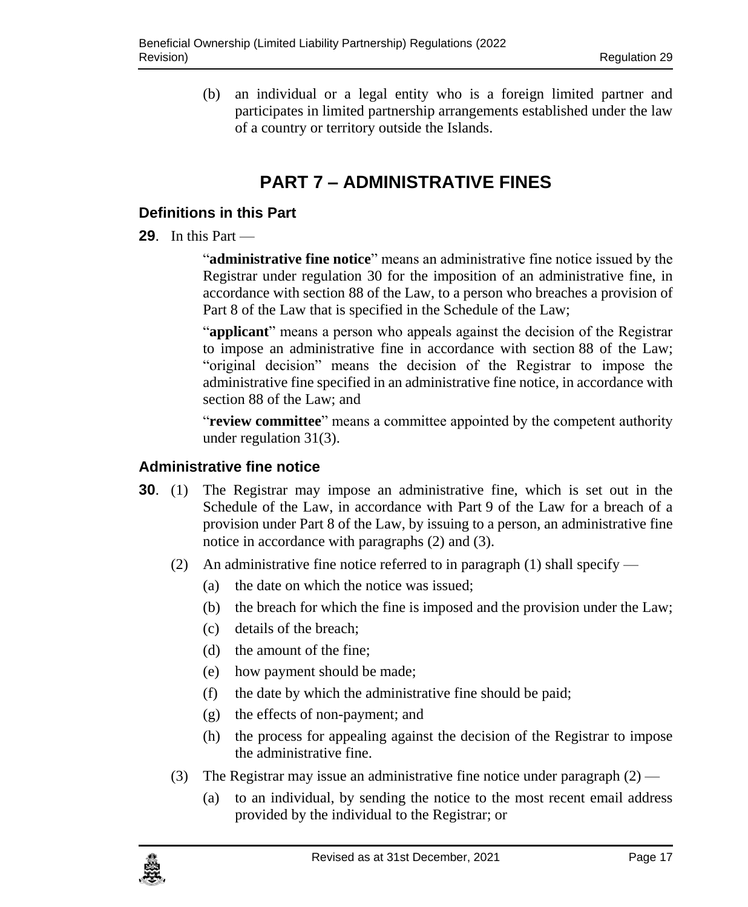(b) an individual or a legal entity who is a foreign limited partner and participates in limited partnership arrangements established under the law of a country or territory outside the Islands.

# **PART 7 – ADMINISTRATIVE FINES**

### <span id="page-16-1"></span><span id="page-16-0"></span>**29. Definitions in this Part**

**29**. In this Part —

"**administrative fine notice**" means an administrative fine notice issued by the Registrar under regulation [30](#page-16-3) for the imposition of an administrative fine, in accordance with section 88 of the Law, to a person who breaches a provision of Part 8 of the Law that is specified in the Schedule of the Law;

"**applicant**" means a person who appeals against the decision of the Registrar to impose an administrative fine in accordance with section 88 of the Law; "original decision" means the decision of the Registrar to impose the administrative fine specified in an administrative fine notice, in accordance with section 88 of the Law; and

"**review committee**" means a committee appointed by the competent authority under regulation 31(3).

### <span id="page-16-2"></span>**30. Administrative fine notice**

- <span id="page-16-3"></span>**30**. (1) The Registrar may impose an administrative fine, which is set out in the Schedule of the Law, in accordance with Part 9 of the Law for a breach of a provision under Part 8 of the Law, by issuing to a person, an administrative fine notice in accordance with paragraphs (2) and (3).
	- (2) An administrative fine notice referred to in paragraph (1) shall specify
		- (a) the date on which the notice was issued;
		- (b) the breach for which the fine is imposed and the provision under the Law;
		- (c) details of the breach;
		- (d) the amount of the fine;
		- (e) how payment should be made;
		- (f) the date by which the administrative fine should be paid;
		- (g) the effects of non-payment; and
		- (h) the process for appealing against the decision of the Registrar to impose the administrative fine.
	- (3) The Registrar may issue an administrative fine notice under paragraph  $(2)$ 
		- (a) to an individual, by sending the notice to the most recent email address provided by the individual to the Registrar; or

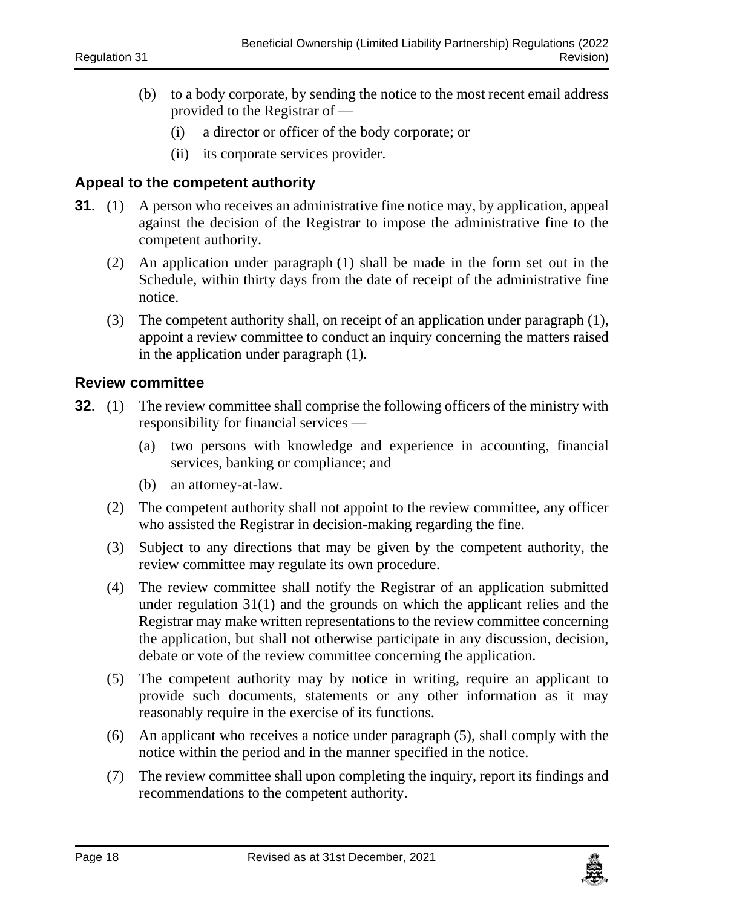- (b) to a body corporate, by sending the notice to the most recent email address provided to the Registrar of —
	- (i) a director or officer of the body corporate; or
	- (ii) its corporate services provider.

#### <span id="page-17-0"></span>**31. Appeal to the competent authority**

- <span id="page-17-2"></span>**31**. (1) A person who receives an administrative fine notice may, by application, appeal against the decision of the Registrar to impose the administrative fine to the competent authority.
	- (2) An application under paragraph (1) shall be made in the form set out in the Schedule, within thirty days from the date of receipt of the administrative fine notice.
	- (3) The competent authority shall, on receipt of an application under paragraph (1), appoint a review committee to conduct an inquiry concerning the matters raised in the application under paragraph (1).

#### <span id="page-17-1"></span>**32. Review committee**

- **32.** (1) The review committee shall comprise the following officers of the ministry with responsibility for financial services —
	- (a) two persons with knowledge and experience in accounting, financial services, banking or compliance; and
	- (b) an attorney-at-law.
	- (2) The competent authority shall not appoint to the review committee, any officer who assisted the Registrar in decision-making regarding the fine.
	- (3) Subject to any directions that may be given by the competent authority, the review committee may regulate its own procedure.
	- (4) The review committee shall notify the Registrar of an application submitted under regulation 31(1) and the grounds on which the applicant relies and the Registrar may make written representations to the review committee concerning the application, but shall not otherwise participate in any discussion, decision, debate or vote of the review committee concerning the application.
	- (5) The competent authority may by notice in writing, require an applicant to provide such documents, statements or any other information as it may reasonably require in the exercise of its functions.
	- (6) An applicant who receives a notice under paragraph (5), shall comply with the notice within the period and in the manner specified in the notice.
	- (7) The review committee shall upon completing the inquiry, report its findings and recommendations to the competent authority.

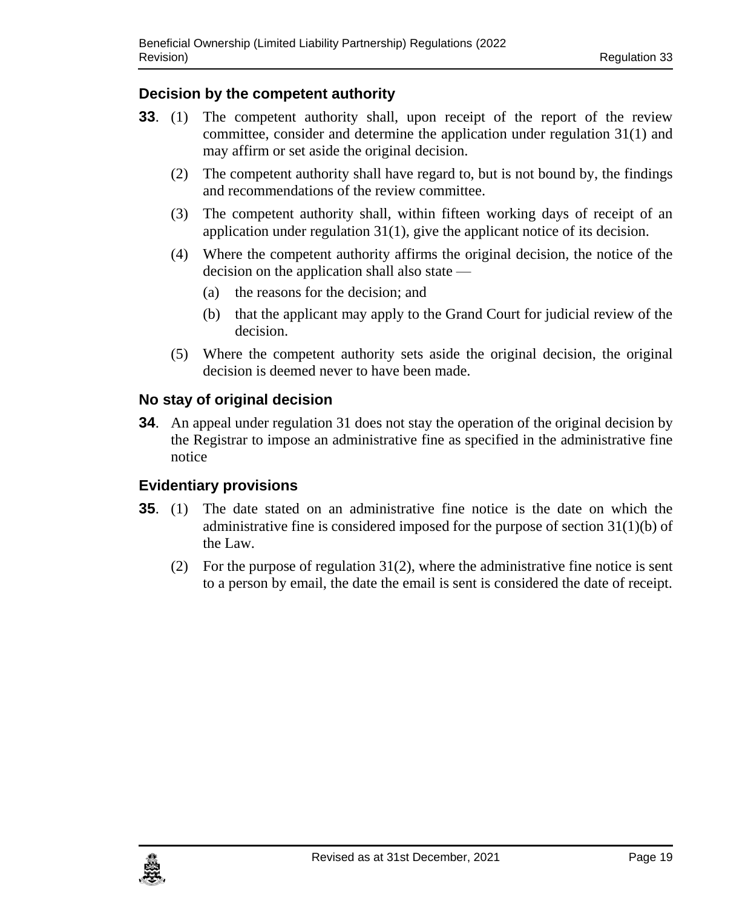# <span id="page-18-0"></span>**33. Decision by the competent authority**

- **33**. (1) The competent authority shall, upon receipt of the report of the review committee, consider and determine the application under regulation 31(1) and may affirm or set aside the original decision.
	- (2) The competent authority shall have regard to, but is not bound by, the findings and recommendations of the review committee.
	- (3) The competent authority shall, within fifteen working days of receipt of an application under regulation 31(1), give the applicant notice of its decision.
	- (4) Where the competent authority affirms the original decision, the notice of the decision on the application shall also state —
		- (a) the reasons for the decision; and
		- (b) that the applicant may apply to the Grand Court for judicial review of the decision.
	- (5) Where the competent authority sets aside the original decision, the original decision is deemed never to have been made.

# <span id="page-18-1"></span>**34. No stay of original decision**

**34**. An appeal under regulatio[n 31](#page-17-2) does not stay the operation of the original decision by the Registrar to impose an administrative fine as specified in the administrative fine notice

# <span id="page-18-2"></span>**35. Evidentiary provisions**

- **35**. (1) The date stated on an administrative fine notice is the date on which the administrative fine is considered imposed for the purpose of section 31(1)(b) of the Law.
	- (2) For the purpose of regulation  $31(2)$ , where the administrative fine notice is sent to a person by email, the date the email is sent is considered the date of receipt.

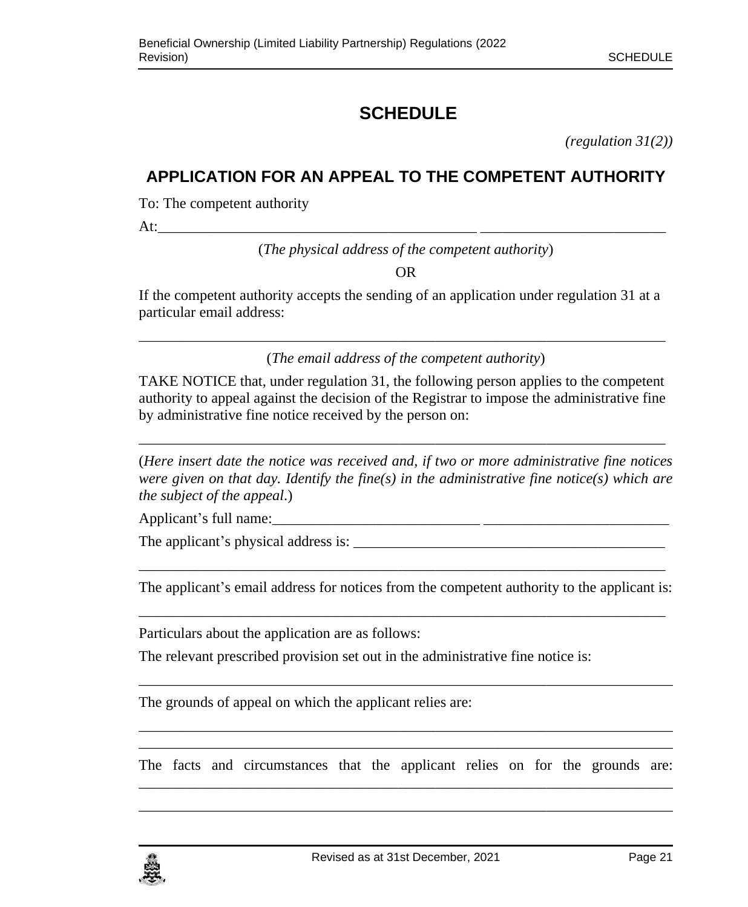# <span id="page-20-0"></span>**SCHEDULE**

*(regulation 31(2))*

# <span id="page-20-1"></span>**APPLICATION FOR AN APPEAL TO THE COMPETENT AUTHORITY**

To: The competent authority

At:

(*The physical address of the competent authority*)

OR

If the competent authority accepts the sending of an application under regulation 31 at a particular email address:

\_\_\_\_\_\_\_\_\_\_\_\_\_\_\_\_\_\_\_\_\_\_\_\_\_\_\_\_\_\_\_\_\_\_\_\_\_\_\_\_\_\_\_\_\_\_\_\_\_\_\_\_\_\_\_\_\_\_\_\_\_\_\_\_\_\_\_\_\_\_\_ (*The email address of the competent authority*)

TAKE NOTICE that, under regulation 31, the following person applies to the competent authority to appeal against the decision of the Registrar to impose the administrative fine by administrative fine notice received by the person on:

\_\_\_\_\_\_\_\_\_\_\_\_\_\_\_\_\_\_\_\_\_\_\_\_\_\_\_\_\_\_\_\_\_\_\_\_\_\_\_\_\_\_\_\_\_\_\_\_\_\_\_\_\_\_\_\_\_\_\_\_\_\_\_\_\_\_\_\_\_\_\_

(*Here insert date the notice was received and, if two or more administrative fine notices were given on that day. Identify the fine(s) in the administrative fine notice(s) which are the subject of the appeal*.)

Applicant's full name:\_\_\_\_\_\_\_\_\_\_\_\_\_\_\_\_\_\_\_\_\_\_\_\_\_\_\_\_ \_\_\_\_\_\_\_\_\_\_\_\_\_\_\_\_\_\_\_\_\_\_\_\_\_

The applicant's physical address is: \_\_\_\_\_\_\_\_\_\_\_\_\_\_\_\_\_\_\_\_\_\_\_\_\_\_\_\_\_\_\_\_\_\_\_\_\_\_\_\_\_\_

\_\_\_\_\_\_\_\_\_\_\_\_\_\_\_\_\_\_\_\_\_\_\_\_\_\_\_\_\_\_\_\_\_\_\_\_\_\_\_\_\_\_\_\_\_\_\_\_\_\_\_\_\_\_\_\_\_\_\_\_\_\_\_\_\_\_\_\_\_\_\_ The applicant's email address for notices from the competent authority to the applicant is: \_\_\_\_\_\_\_\_\_\_\_\_\_\_\_\_\_\_\_\_\_\_\_\_\_\_\_\_\_\_\_\_\_\_\_\_\_\_\_\_\_\_\_\_\_\_\_\_\_\_\_\_\_\_\_\_\_\_\_\_\_\_\_\_\_\_\_\_\_\_\_

Particulars about the application are as follows:

The relevant prescribed provision set out in the administrative fine notice is:

The grounds of appeal on which the applicant relies are:

\_\_\_\_\_\_\_\_\_\_\_\_\_\_\_\_\_\_\_\_\_\_\_\_\_\_\_\_\_\_\_\_\_\_\_\_\_\_\_\_\_\_\_\_\_\_\_\_\_\_\_\_\_\_\_\_\_\_\_\_\_\_\_\_\_\_\_\_\_\_\_\_ The facts and circumstances that the applicant relies on for the grounds are: \_\_\_\_\_\_\_\_\_\_\_\_\_\_\_\_\_\_\_\_\_\_\_\_\_\_\_\_\_\_\_\_\_\_\_\_\_\_\_\_\_\_\_\_\_\_\_\_\_\_\_\_\_\_\_\_\_\_\_\_\_\_\_\_\_\_\_\_\_\_\_\_

\_\_\_\_\_\_\_\_\_\_\_\_\_\_\_\_\_\_\_\_\_\_\_\_\_\_\_\_\_\_\_\_\_\_\_\_\_\_\_\_\_\_\_\_\_\_\_\_\_\_\_\_\_\_\_\_\_\_\_\_\_\_\_\_\_\_\_\_\_\_\_\_

\_\_\_\_\_\_\_\_\_\_\_\_\_\_\_\_\_\_\_\_\_\_\_\_\_\_\_\_\_\_\_\_\_\_\_\_\_\_\_\_\_\_\_\_\_\_\_\_\_\_\_\_\_\_\_\_\_\_\_\_\_\_\_\_\_\_\_\_\_\_\_\_

\_\_\_\_\_\_\_\_\_\_\_\_\_\_\_\_\_\_\_\_\_\_\_\_\_\_\_\_\_\_\_\_\_\_\_\_\_\_\_\_\_\_\_\_\_\_\_\_\_\_\_\_\_\_\_\_\_\_\_\_\_\_\_\_\_\_\_\_\_\_\_\_

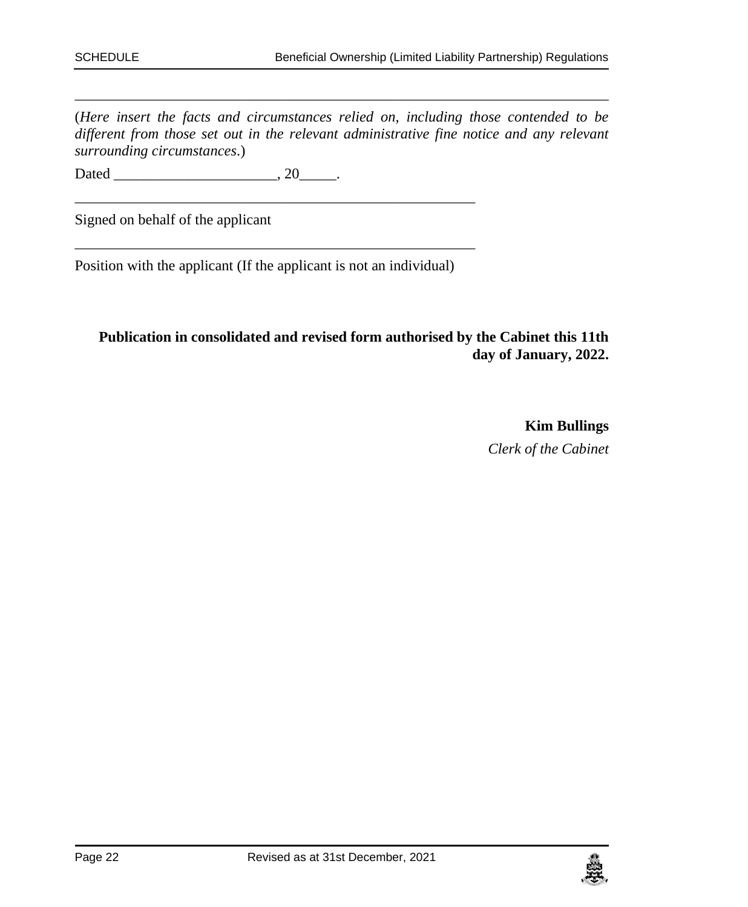(*Here insert the facts and circumstances relied on, including those contended to be different from those set out in the relevant administrative fine notice and any relevant surrounding circumstances*.)

\_\_\_\_\_\_\_\_\_\_\_\_\_\_\_\_\_\_\_\_\_\_\_\_\_\_\_\_\_\_\_\_\_\_\_\_\_\_\_\_\_\_\_\_\_\_\_\_\_\_\_\_\_\_\_\_\_\_\_\_\_\_\_\_\_\_\_\_\_\_\_\_

Dated \_\_\_\_\_\_\_\_\_\_\_\_\_\_\_\_\_\_\_\_\_\_, 20\_\_\_\_\_.

Signed on behalf of the applicant

Position with the applicant (If the applicant is not an individual)

\_\_\_\_\_\_\_\_\_\_\_\_\_\_\_\_\_\_\_\_\_\_\_\_\_\_\_\_\_\_\_\_\_\_\_\_\_\_\_\_\_\_\_\_\_\_\_\_\_\_\_\_\_\_

\_\_\_\_\_\_\_\_\_\_\_\_\_\_\_\_\_\_\_\_\_\_\_\_\_\_\_\_\_\_\_\_\_\_\_\_\_\_\_\_\_\_\_\_\_\_\_\_\_\_\_\_\_\_

#### **Publication in consolidated and revised form authorised by the Cabinet this 11th day of January, 2022.**

**Kim Bullings** *Clerk of the Cabinet*

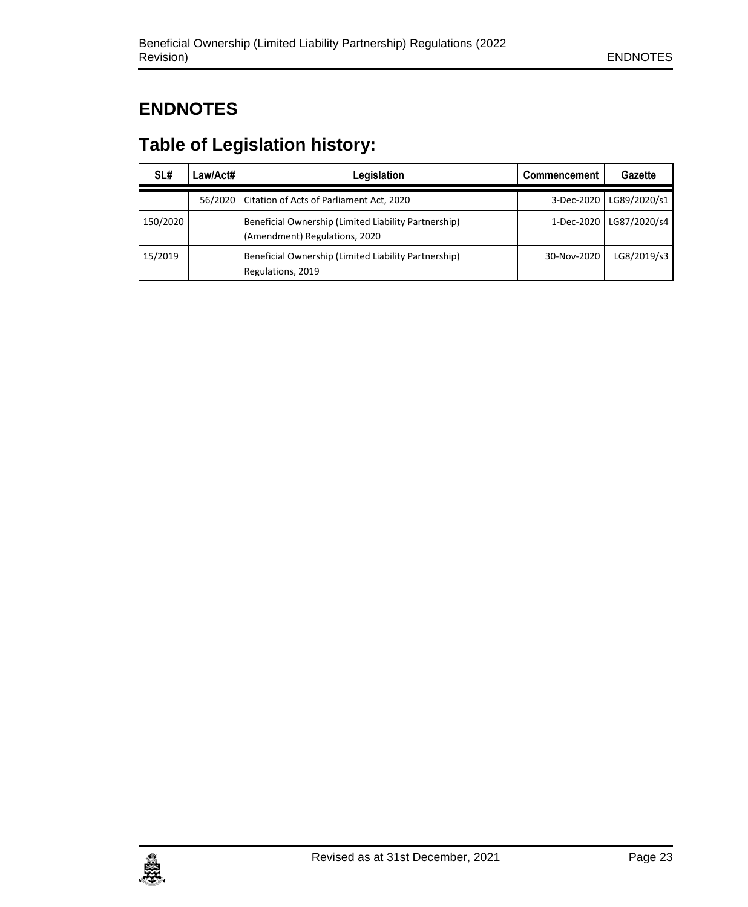# <span id="page-22-0"></span>**ENDNOTES**

# <span id="page-22-1"></span>**Table of Legislation history:**

| SL#      | Law/Act# | Legislation                                                                           | Commencement | Gazette      |
|----------|----------|---------------------------------------------------------------------------------------|--------------|--------------|
|          | 56/2020  | Citation of Acts of Parliament Act, 2020                                              | 3-Dec-2020   | LG89/2020/s1 |
| 150/2020 |          | Beneficial Ownership (Limited Liability Partnership)<br>(Amendment) Regulations, 2020 | 1-Dec-2020   | LG87/2020/s4 |
| 15/2019  |          | Beneficial Ownership (Limited Liability Partnership)<br>Regulations, 2019             | 30-Nov-2020  | LG8/2019/s3  |